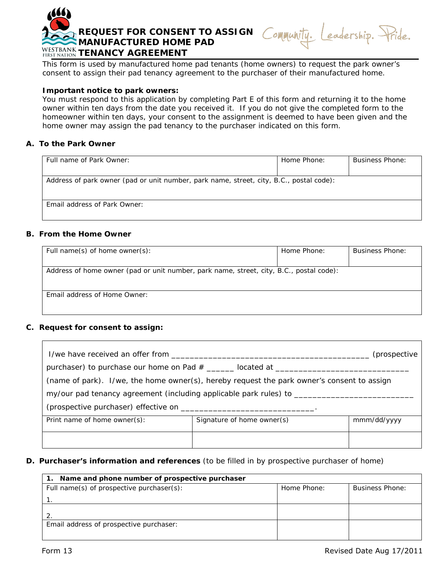

This form is used by manufactured home pad tenants (home owners) to request the park owner's consent to assign their pad tenancy agreement to the purchaser of their manufactured home.

## **Important notice to park owners:**

You must respond to this application by completing Part E of this form and returning it to the home owner within ten days from the date you received it. If you do not give the completed form to the homeowner within ten days, your consent to the assignment is deemed to have been given and the home owner may assign the pad tenancy to the purchaser indicated on this form.

## **A. To the Park Owner**

| Full name of Park Owner:                                                                | Home Phone: | <b>Business Phone:</b> |  |  |
|-----------------------------------------------------------------------------------------|-------------|------------------------|--|--|
|                                                                                         |             |                        |  |  |
| Address of park owner (pad or unit number, park name, street, city, B.C., postal code): |             |                        |  |  |
| Email address of Park Owner:                                                            |             |                        |  |  |

## **B. From the Home Owner**

| Full name(s) of home owner(s):                                                          | Home Phone: | <b>Business Phone:</b> |  |
|-----------------------------------------------------------------------------------------|-------------|------------------------|--|
|                                                                                         |             |                        |  |
| Address of home owner (pad or unit number, park name, street, city, B.C., postal code): |             |                        |  |
|                                                                                         |             |                        |  |
|                                                                                         |             |                        |  |
| Email address of Home Owner:                                                            |             |                        |  |
|                                                                                         |             |                        |  |

# **C. Request for consent to assign:**

 $\mathbf{r}$ 

| I/we have received an offer from the state of the state of the state of the state of the state of the state of |                            | (prospective |  |
|----------------------------------------------------------------------------------------------------------------|----------------------------|--------------|--|
| purchaser) to purchase our home on Pad # _______ located at ________                                           |                            |              |  |
| (name of park). I/we, the home owner(s), hereby request the park owner's consent to assign                     |                            |              |  |
|                                                                                                                |                            |              |  |
|                                                                                                                |                            |              |  |
| Print name of home owner(s):                                                                                   | Signature of home owner(s) | mmm/dd/yyyy  |  |
|                                                                                                                |                            |              |  |

#### **D. Purchaser's information and references** (to be filled in by prospective purchaser of home)

| 1. Name and phone number of prospective purchaser |             |                        |
|---------------------------------------------------|-------------|------------------------|
| Full name(s) of prospective purchaser(s):         | Home Phone: | <b>Business Phone:</b> |
|                                                   |             |                        |
|                                                   |             |                        |
|                                                   |             |                        |
| Email address of prospective purchaser:           |             |                        |
|                                                   |             |                        |

eadership. Pride.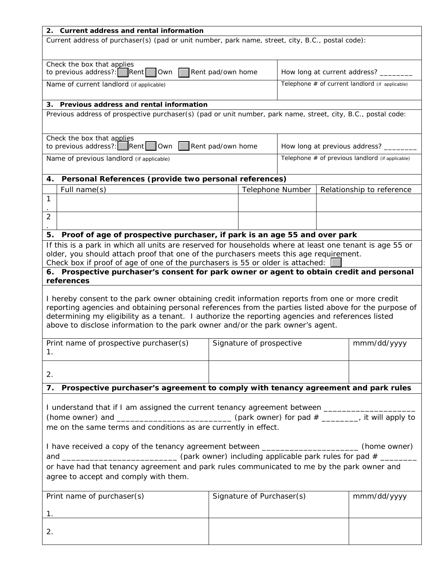| 2. Current address and rental information                                                                               |                   |                              |                                 |  |                                                  |
|-------------------------------------------------------------------------------------------------------------------------|-------------------|------------------------------|---------------------------------|--|--------------------------------------------------|
| Current address of purchaser(s) (pad or unit number, park name, street, city, B.C., postal code):                       |                   |                              |                                 |  |                                                  |
|                                                                                                                         |                   |                              |                                 |  |                                                  |
|                                                                                                                         |                   |                              |                                 |  |                                                  |
| Check the box that applies<br>to previous address?: $\boxed{\mathsf{Rent}}$ $\boxed{\mathsf{Own}}$<br>Rent pad/own home |                   | How long at current address? |                                 |  |                                                  |
|                                                                                                                         |                   |                              |                                 |  |                                                  |
| Name of current landlord (if applicable)                                                                                |                   |                              |                                 |  | Telephone # of current landlord (if applicable)  |
|                                                                                                                         |                   |                              |                                 |  |                                                  |
| <b>Previous address and rental information</b><br>3.                                                                    |                   |                              |                                 |  |                                                  |
| Previous address of prospective purchaser(s) (pad or unit number, park name, street, city, B.C., postal code:           |                   |                              |                                 |  |                                                  |
|                                                                                                                         |                   |                              |                                 |  |                                                  |
|                                                                                                                         |                   |                              |                                 |  |                                                  |
| Check the box that applies                                                                                              |                   |                              |                                 |  |                                                  |
| to previous address?: $\boxed{\phantom{a}}$ Rent $\boxed{\phantom{a}}$ Own $\boxed{\phantom{a}}$                        | Rent pad/own home |                              | How long at previous address? _ |  |                                                  |
| Name of previous landlord (if applicable)                                                                               |                   |                              |                                 |  | Telephone # of previous landlord (if applicable) |
|                                                                                                                         |                   |                              |                                 |  |                                                  |
| Personal References (provide two personal references)<br>4.                                                             |                   |                              |                                 |  |                                                  |
| Full name(s)                                                                                                            |                   | Telephone Number             |                                 |  | Relationship to reference                        |
| 1                                                                                                                       |                   |                              |                                 |  |                                                  |
|                                                                                                                         |                   |                              |                                 |  |                                                  |
| 2                                                                                                                       |                   |                              |                                 |  |                                                  |
|                                                                                                                         |                   |                              |                                 |  |                                                  |
| Proof of age of prospective purchaser, if park is an age 55 and over park<br>5.                                         |                   |                              |                                 |  |                                                  |
| If this is a park in which all units are reserved for households where at least one tenant is age 55 or                 |                   |                              |                                 |  |                                                  |
| older, you should attach proof that one of the purchasers meets this age requirement.                                   |                   |                              |                                 |  |                                                  |
| Check box if proof of age of one of the purchasers is 55 or older is attached:                                          |                   |                              |                                 |  |                                                  |
| 6. Prospective purchaser's consent for park owner or agent to obtain credit and personal                                |                   |                              |                                 |  |                                                  |
| references                                                                                                              |                   |                              |                                 |  |                                                  |
|                                                                                                                         |                   |                              |                                 |  |                                                  |
| I hereby consent to the park owner obtaining credit information reports from one or more credit                         |                   |                              |                                 |  |                                                  |
| reporting agencies and obtaining personal references from the parties listed above for the purpose of                   |                   |                              |                                 |  |                                                  |
| determining my eligibility as a tenant. I authorize the reporting agencies and references listed                        |                   |                              |                                 |  |                                                  |
| above to disclose information to the park owner and/or the park owner's agent.                                          |                   |                              |                                 |  |                                                  |
|                                                                                                                         |                   |                              |                                 |  |                                                  |
| Print name of prospective purchaser(s)                                                                                  |                   | Signature of prospective     |                                 |  | mmm/dd/yyyy                                      |
| Ι.                                                                                                                      |                   |                              |                                 |  |                                                  |
|                                                                                                                         |                   |                              |                                 |  |                                                  |
|                                                                                                                         |                   |                              |                                 |  |                                                  |
| 2.                                                                                                                      |                   |                              |                                 |  |                                                  |
| Prospective purchaser's agreement to comply with tenancy agreement and park rules<br>7.                                 |                   |                              |                                 |  |                                                  |
|                                                                                                                         |                   |                              |                                 |  |                                                  |
| I understand that if I am assigned the current tenancy agreement between ______________                                 |                   |                              |                                 |  |                                                  |
|                                                                                                                         |                   |                              |                                 |  |                                                  |
|                                                                                                                         |                   |                              |                                 |  |                                                  |
| me on the same terms and conditions as are currently in effect.                                                         |                   |                              |                                 |  |                                                  |
|                                                                                                                         |                   |                              |                                 |  |                                                  |
| I have received a copy of the tenancy agreement between ______________________(home owner)                              |                   |                              |                                 |  |                                                  |
|                                                                                                                         |                   |                              |                                 |  |                                                  |
| or have had that tenancy agreement and park rules communicated to me by the park owner and                              |                   |                              |                                 |  |                                                  |
| agree to accept and comply with them.                                                                                   |                   |                              |                                 |  |                                                  |
|                                                                                                                         |                   |                              |                                 |  |                                                  |
| Print name of purchaser(s)                                                                                              |                   | Signature of Purchaser(s)    |                                 |  | mmm/dd/yyyy                                      |
|                                                                                                                         |                   |                              |                                 |  |                                                  |
| 1.                                                                                                                      |                   |                              |                                 |  |                                                  |
|                                                                                                                         |                   |                              |                                 |  |                                                  |
| 2.                                                                                                                      |                   |                              |                                 |  |                                                  |
|                                                                                                                         |                   |                              |                                 |  |                                                  |